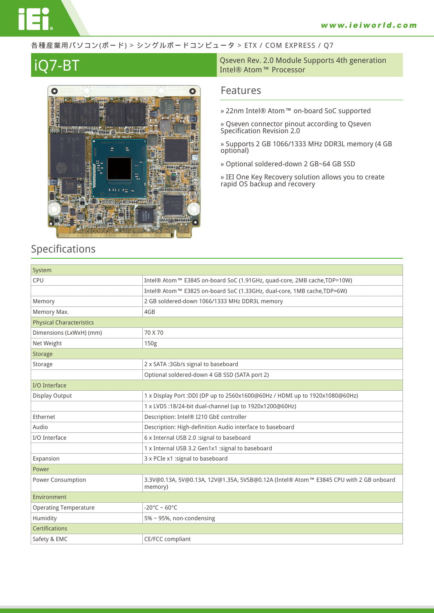#### 各種産業用パソコン(ボード) > シングルボードコンピュータ > ETX / COM EXPRESS / Q7



#### **iQ7-BT** and the supports 4th generation and the supports 4th generation and Qseven Rev. 2.0 Module Supports 4th generation Intel® Atom™ Processor

### **Features**

- **» 22nm Intel® Atom™ on-board SoC supported**
- **» Qseven connector pinout according to Qseven Specification Revision 2.0**
- **» Supports 2 GB 1066/1333 MHz DDR3L memory (4 GB optional)**
- **» Optional soldered-down 2 GB~64 GB SSD**

**» IEI One Key Recovery solution allows you to create rapid OS backup and recovery**

## **Specifications**

| System                          |                                                                                                  |  |
|---------------------------------|--------------------------------------------------------------------------------------------------|--|
| CPU                             | Intel® Atom™ E3845 on-board SoC (1.91GHz, quad-core, 2MB cache, TDP=10W)                         |  |
|                                 | Intel® Atom™ E3825 on-board SoC (1.33GHz, dual-core, 1MB cache, TDP=6W)                          |  |
| Memory                          | 2 GB soldered-down 1066/1333 MHz DDR3L memory                                                    |  |
| Memory Max.                     | 4GB                                                                                              |  |
| <b>Physical Characteristics</b> |                                                                                                  |  |
| Dimensions (LxWxH) (mm)         | 70 X 70                                                                                          |  |
| Net Weight                      | 150 <sub>g</sub>                                                                                 |  |
| Storage                         |                                                                                                  |  |
| Storage                         | 2 x SATA :3Gb/s signal to baseboard                                                              |  |
|                                 | Optional soldered-down 4 GB SSD (SATA port 2)                                                    |  |
| I/O Interface                   |                                                                                                  |  |
| Display Output                  | 1 x Display Port : DDI (DP up to 2560x1600@60Hz / HDMI up to 1920x1080@60Hz)                     |  |
|                                 | 1 x LVDS : 18/24-bit dual-channel (up to 1920x1200@60Hz)                                         |  |
| Ethernet                        | Description: Intel® I210 GbE controller                                                          |  |
| Audio                           | Description: High-definition Audio interface to baseboard                                        |  |
| I/O Interface                   | 6 x Internal USB 2.0 :signal to baseboard                                                        |  |
|                                 | 1 x Internal USB 3.2 Gen1x1 :signal to baseboard                                                 |  |
| Expansion                       | 3 x PCIe x1 :signal to baseboard                                                                 |  |
| Power                           |                                                                                                  |  |
| Power Consumption               | 3.3V@0.13A, 5V@0.13A, 12V@1.35A, 5VSB@0.12A (Intel® Atom™ E3845 CPU with 2 GB onboard<br>memory) |  |
| Environment                     |                                                                                                  |  |
| <b>Operating Temperature</b>    | $-20^{\circ}$ C ~ 60°C                                                                           |  |
| Humidity                        | 5% ~ 95%, non-condensing                                                                         |  |
| <b>Certifications</b>           |                                                                                                  |  |
| Safety & EMC                    | CE/FCC compliant                                                                                 |  |